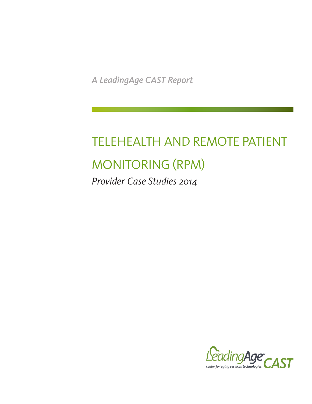*A LeadingAge CAST Report*

# TELEHEALTH AND REMOTE PATIENT MONITORING (RPM)

*Provider Case Studies 2014*

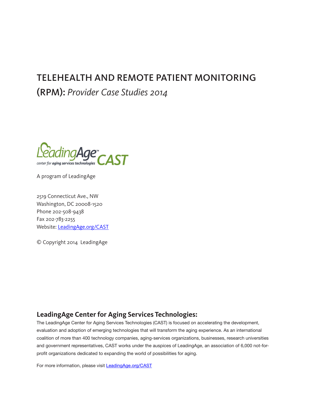# TELEHEALTH AND REMOTE PATIENT MONITORING

(RPM): *Provider Case Studies 2014*



A program of LeadingAge

2519 Connecticut Ave., NW Washington, DC 20008-1520 Phone 202-508-9438 Fax 202-783-2255 Website: [LeadingAge.org/CAST](http://www.LeadingAge.org/cast.aspx)

© Copyright 2014 LeadingAge

# **LeadingAge Center for Aging Services Technologies:**

The LeadingAge Center for Aging Services Technologies (CAST) is focused on accelerating the development, evaluation and adoption of emerging technologies that will transform the aging experience. As an international coalition of more than 400 technology companies, aging-services organizations, businesses, research universities and government representatives, CAST works under the auspices of LeadingAge, an association of 6,000 not-forprofit organizations dedicated to expanding the world of possibilities for aging.

For more information, please visit **LeadingAge.org/CAST**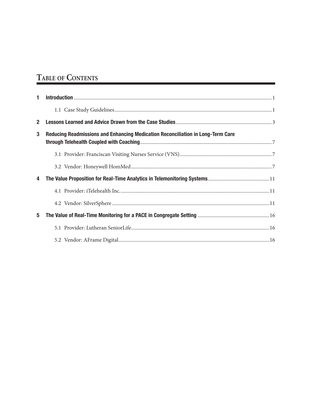# TABLE OF CONTENTS

| $\mathbf{1}$ |                                                                                 |
|--------------|---------------------------------------------------------------------------------|
|              |                                                                                 |
| $\mathbf{2}$ |                                                                                 |
| 3            | Reducing Readmissions and Enhancing Medication Reconciliation in Long-Term Care |
|              |                                                                                 |
|              |                                                                                 |
| 4            |                                                                                 |
|              |                                                                                 |
|              |                                                                                 |
| 5            |                                                                                 |
|              |                                                                                 |
|              |                                                                                 |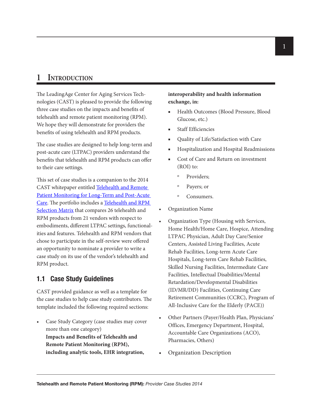# **1 Introduction**

The LeadingAge Center for Aging Services Technologies (CAST) is pleased to provide the following three case studies on the impacts and benefits of telehealth and remote patient monitoring (RPM). We hope they will demonstrate for providers the benefits of using telehealth and RPM products.

The case studies are designed to help long-term and post-acute care (LTPAC) providers understand the benefits that telehealth and RPM products can offer to their care settings.

This set of case studies is a companion to the 2014 CAST whitepaper entitled [Telehealth and Remote](http://www.leadingage.org/uploadedFiles/Content/Centers/CAST/Resources/2014_CAST_Telehealth_and_RPM_for_Long-Term_and_Post-Acute_Care_Whitepape.pdf)  [Patient Monitoring for Long-Term and Post-Acute](http://www.leadingage.org/uploadedFiles/Content/Centers/CAST/Resources/2014_CAST_Telehealth_and_RPM_for_Long-Term_and_Post-Acute_Care_Whitepape.pdf)  [Care.](http://www.leadingage.org/uploadedFiles/Content/Centers/CAST/Resources/2014_CAST_Telehealth_and_RPM_for_Long-Term_and_Post-Acute_Care_Whitepape.pdf) The portfolio includes a [Telehealth and RPM](http://www.leadingage.org/uploadedFiles/Content/Centers/CAST/Resources/2014_CAST_Telehealth_and_RPM_Selection_Matrix.pdf)  [Selection Matrix](http://www.leadingage.org/uploadedFiles/Content/Centers/CAST/Resources/2014_CAST_Telehealth_and_RPM_Selection_Matrix.pdf) that compares 26 telehealth and RPM products from 21 vendors with respect to embodiments, different LTPAC settings, functionalities and features. Telehealth and RPM vendors that chose to participate in the self-review were offered an opportunity to nominate a provider to write a case study on its use of the vendor's telehealth and RPM product.

# **1.1 Case Study Guidelines**

CAST provided guidance as well as a template for the case studies to help case study contributors. The template included the following required sections:

• Case Study Category (case studies may cover more than one category) **Impacts and Benefits of Telehealth and Remote Patient Monitoring (RPM), including analytic tools, EHR integration,** 

# **interoperability and health information exchange, in:**

- Health Outcomes (Blood Pressure, Blood Glucose, etc.)
- Staff Efficiencies
- Quality of Life/Satisfaction with Care
- Hospitalization and Hospital Readmissions
- Cost of Care and Return on investment (ROI) to:
	- Providers;
	- º Payers; or
	- º Consumers.
- Organization Name
- Organization Type (Housing with Services, Home Health/Home Care, Hospice, Attending LTPAC Physician, Adult Day Care/Senior Centers, Assisted Living Facilities, Acute Rehab Facilities, Long-term Acute Care Hospitals, Long-term Care Rehab Facilities, Skilled Nursing Facilities, Intermediate Care Facilities, Intellectual Disabilities/Mental Retardation/Developmental Disabilities (ID/MR/DD) Facilities, Continuing Care Retirement Communities (CCRC), Program of All-Inclusive Care for the Elderly (PACE))
- Other Partners (Payer/Health Plan, Physicians' Offices, Emergency Department, Hospital, Accountable Care Organizations (ACO), Pharmacies, Others)
- Organization Description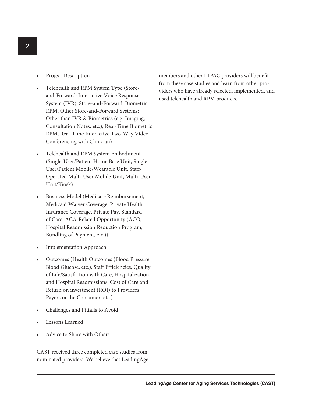- Project Description
- Telehealth and RPM System Type (Storeand-Forward: Interactive Voice Response System (IVR), Store-and-Forward: Biometric RPM, Other Store-and-Forward Systems: Other than IVR & Biometrics (e.g. Imaging, Consultation Notes, etc.), Real-Time Biometric RPM, Real-Time Interactive Two-Way Video Conferencing with Clinician)
- Telehealth and RPM System Embodiment (Single-User/Patient Home Base Unit, Single-User/Patient Mobile/Wearable Unit, Staff-Operated Multi-User Mobile Unit, Multi-User Unit/Kiosk)
- Business Model (Medicare Reimbursement, Medicaid Waiver Coverage, Private Health Insurance Coverage, Private Pay, Standard of Care, ACA-Related Opportunity (ACO, Hospital Readmission Reduction Program, Bundling of Payment, etc.))
- Implementation Approach
- Outcomes (Health Outcomes (Blood Pressure, Blood Glucose, etc.), Staff Efficiencies, Quality of Life/Satisfaction with Care, Hospitalization and Hospital Readmissions, Cost of Care and Return on investment (ROI) to Providers, Payers or the Consumer, etc.)
- Challenges and Pitfalls to Avoid
- Lessons Learned
- Advice to Share with Others

CAST received three completed case studies from nominated providers. We believe that LeadingAge members and other LTPAC providers will benefit from these case studies and learn from other providers who have already selected, implemented, and used telehealth and RPM products.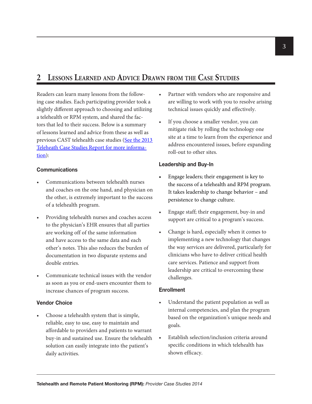# **2 Lessons Learned and Advice Drawn from the Case Studies**

Readers can learn many lessons from the following case studies. Each participating provider took a slightly different approach to choosing and utilizing a telehealth or RPM system, and shared the factors that led to their success. Below is a summary of lessons learned and advice from these as well as previous CAST telehealth case studies (See the 2013 [Teleheath Case Studies Report for more informa](http://www.leadingage.org/uploadedFiles/Content/About/CAST/Resources/2013_CAST_Telehealth_and_Remote_Patient_Monitoring_(RPM)_Case_Studies.pdf)[tion\)](http://www.leadingage.org/uploadedFiles/Content/About/CAST/Resources/2013_CAST_Telehealth_and_Remote_Patient_Monitoring_(RPM)_Case_Studies.pdf):

#### **Communications**

- Communications between telehealth nurses and coaches on the one hand, and physician on the other, is extremely important to the success of a telehealth program.
- Providing telehealth nurses and coaches access to the physician's EHR ensures that all parties are working off of the same information and have access to the same data and each other's notes. This also reduces the burden of documentation in two disparate systems and double entries.
- Communicate technical issues with the vendor as soon as you or end-users encounter them to increase chances of program success.

#### **Vendor Choice**

• Choose a telehealth system that is simple, reliable, easy to use, easy to maintain and affordable to providers and patients to warrant buy-in and sustained use. Ensure the telehealth solution can easily integrate into the patient's daily activities.

- Partner with vendors who are responsive and are willing to work with you to resolve arising technical issues quickly and effectively.
- If you choose a smaller vendor, you can mitigate risk by rolling the technology one site at a time to learn from the experience and address encountered issues, before expanding roll-out to other sites.

#### **Leadership and Buy-In**

- Engage leaders; their engagement is key to the success of a telehealth and RPM program. It takes leadership to change behavior – and persistence to change culture.
- Engage staff; their engagement, buy-in and support are critical to a program's success.
- Change is hard, especially when it comes to implementing a new technology that changes the way services are delivered, particularly for clinicians who have to deliver critical health care services. Patience and support from leadership are critical to overcoming these challenges.

#### **Enrollment**

- Understand the patient population as well as internal competencies, and plan the program based on the organization's unique needs and goals.
- Establish selection/inclusion criteria around specific conditions in which telehealth has shown efficacy.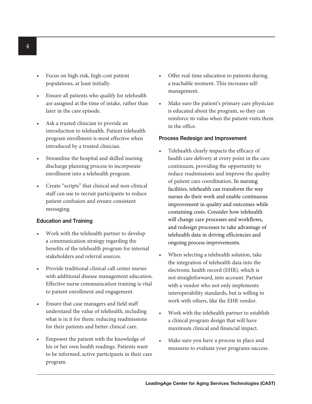- Focus on high-risk, high-cost patient populations, at least initially.
- Ensure all patients who qualify for telehealth are assigned at the time of intake, rather than later in the care episode.
- Ask a trusted clinician to provide an introduction to telehealth. Patient telehealth program enrollment is most effective when introduced by a trusted clinician.
- Streamline the hospital and skilled nursing discharge planning process to incorporate enrollment into a telehealth program.
- Create "scripts" that clinical and non-clinical staff can use to recruit participants to reduce patient confusion and ensure consistent messaging.

## **Education and Training**

- Work with the telehealth partner to develop a communication strategy regarding the benefits of the telehealth program for internal stakeholders and referral sources.
- Provide traditional clinical call center nurses with additional disease management education. Effective nurse communication training is vital to patient enrollment and engagement.
- Ensure that case managers and field staff understand the value of telehealth, including what is in it for them: reducing readmissions for their patients and better clinical care.
- Empower the patient with the knowledge of his or her own health readings. Patients want to be informed, active participants in their care program.
- Offer real-time education to patients during a teachable moment. This increases selfmanagement.
- Make sure the patient's primary care physician is educated about the program, so they can reinforce its value when the patient visits them in the office.

#### **Process Redesign and Improvement**

- Telehealth clearly impacts the efficacy of health care delivery at every point in the care continuum, providing the opportunity to reduce readmissions and improve the quality of patient care coordination. In nursing facilities, telehealth can transform the way nurses do their work and enable continuous improvement in quality and outcomes while containing costs. Consider how telehealth will change care processes and workflows, and redesign processes to take advantage of telehealth data in driving efficiencies and ongoing process improvements.
- When selecting a telehealth solution, take the integration of telehealth data into the electronic health record (EHR), which is not straightforward, into account. Partner with a vendor who not only implements interoperability standards, but is willing to work with others, like the EHR vendor.
- Work with the telehealth partner to establish a clinical program design that will have maximum clinical and financial impact.
- Make sure you have a process in place and measures to evaluate your programs success.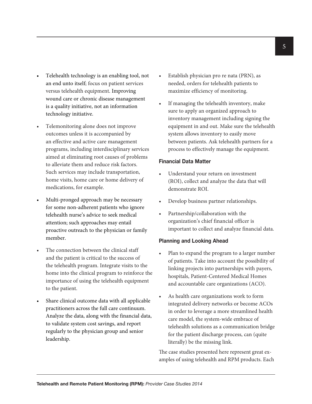- Telehealth technology is an enabling tool, not an end unto itself; focus on patient services versus telehealth equipment. Improving wound care or chronic disease management is a quality initiative, not an information technology initiative.
- Telemonitoring alone does not improve outcomes unless it is accompanied by an effective and active care management programs, including interdisciplinary services aimed at eliminating root causes of problems to alleviate them and reduce risk factors. Such services may include transportation, home visits, home care or home delivery of medications, for example.
- Multi-pronged approach may be necessary for some non-adherent patients who ignore telehealth nurse's advice to seek medical attention; such approaches may entail proactive outreach to the physician or family member.
- The connection between the clinical staff and the patient is critical to the success of the telehealth program. Integrate visits to the home into the clinical program to reinforce the importance of using the telehealth equipment to the patient.
- Share clinical outcome data with all applicable practitioners across the full care continuum. Analyze the data, along with the financial data, to validate system cost savings, and report regularly to the physician group and senior leadership.
- Establish physician pro re nata (PRN), as needed, orders for telehealth patients to maximize efficiency of monitoring.
- If managing the telehealth inventory, make sure to apply an organized approach to inventory management including signing the equipment in and out. Make sure the telehealth system allows inventory to easily move between patients. Ask telehealth partners for a process to effectively manage the equipment.

#### **Financial Data Matter**

- Understand your return on investment (ROI), collect and analyze the data that will demonstrate ROI.
- Develop business partner relationships.
- Partnership/collaboration with the organization's chief financial officer is important to collect and analyze financial data.

## **Planning and Looking Ahead**

- Plan to expand the program to a larger number of patients. Take into account the possibility of linking projects into partnerships with payers, hospitals, Patient-Centered Medical Homes and accountable care organizations (ACO).
- As health care organizations work to form integrated delivery networks or become ACOs in order to leverage a more streamlined health care model, the system-wide embrace of telehealth solutions as a communication bridge for the patient discharge process, can (quite literally) be the missing link.

The case studies presented here represent great examples of using telehealth and RPM products. Each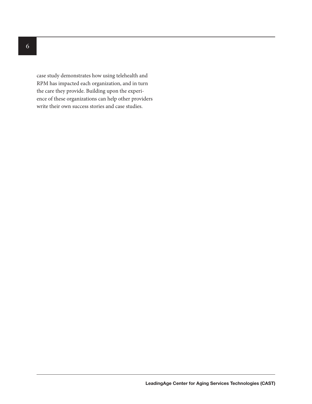case study demonstrates how using telehealth and RPM has impacted each organization, and in turn the care they provide. Building upon the experience of these organizations can help other providers write their own success stories and case studies.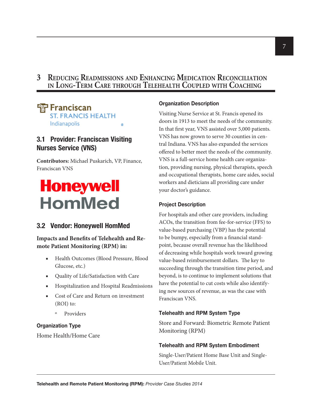# **3 Reducing Readmissions and Enhancing Medication Reconciliation in Long-Term Care through Telehealth Coupled with Coaching**

#### <sup>雷</sup>Franciscan **ST. FRANCIS HEALTH** Indianapolis  $^{\circ}$

# **3.1 Provider: Franciscan Visiting Nurses Service (VNS)**

**Contributors:** Michael Puskarich, VP, Finance, Franciscan VNS

# **Honeywell HomMed**

# **3.2 Vendor: Honeywell HomMed**

**Impacts and Benefits of Telehealth and Remote Patient Monitoring (RPM) in:**

- Health Outcomes (Blood Pressure, Blood Glucose, etc.)
- Quality of Life/Satisfaction with Care
- Hospitalization and Hospital Readmissions
- Cost of Care and Return on investment (ROI) to:
	- º Providers

# **Organization Type**

Home Health/Home Care

## **Organization Description**

Visiting Nurse Service at St. Francis opened its doors in 1913 to meet the needs of the community. In that first year, VNS assisted over 5,000 patients. VNS has now grown to serve 30 counties in central Indiana. VNS has also expanded the services offered to better meet the needs of the community. VNS is a full-service home health care organization, providing nursing, physical therapists, speech and occupational therapists, home care aides, social workers and dieticians all providing care under your doctor's guidance.

## **Project Description**

For hospitals and other care providers, including ACOs, the transition from fee-for-service (FFS) to value-based purchasing (VBP) has the potential to be bumpy, especially from a financial standpoint, because overall revenue has the likelihood of decreasing while hospitals work toward growing value-based reimbursement dollars. The key to succeeding through the transition time period, and beyond, is to continue to implement solutions that have the potential to cut costs while also identifying new sources of revenue, as was the case with Franciscan VNS.

# **Telehealth and RPM System Type**

Store and Forward: Biometric Remote Patient Monitoring (RPM)

## **Telehealth and RPM System Embodiment**

Single-User/Patient Home Base Unit and Single-User/Patient Mobile Unit.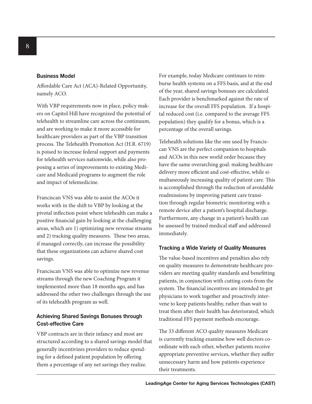#### **Business Model**

Affordable Care Act (ACA)-Related Opportunity, namely ACO.

With VBP requirements now in place, policy makers on Capitol Hill have recognized the potential of telehealth to streamline care across the continuum, and are working to make it more accessible for healthcare providers as part of the VBP transition process. The Telehealth Promotion Act (H.R. 6719) is poised to increase federal support and payments for telehealth services nationwide, while also proposing a series of improvements to existing Medicare and Medicaid programs to augment the role and impact of telemedicine.

Franciscan VNS was able to assist the ACOs it works with in the shift to VBP by looking at the pivotal inflection point where telehealth can make a positive financial gain by looking at the challenging areas, which are 1) optimizing new revenue streams and 2) tracking quality measures. These two areas, if managed correctly, can increase the possibility that these organizations can achieve shared cost savings.

Franciscan VNS was able to optimize new revenue streams through the new Coaching Program it implemented more than 18 months ago, and has addressed the other two challenges through the use of its telehealth program as well.

## **Achieving Shared Savings Bonuses through Cost-effective Care**

VBP contracts are in their infancy and most are structured according to a shared savings model that generally incentivizes providers to reduce spending for a defined patient population by offering them a percentage of any net savings they realize.

For example, today Medicare continues to reimburse health systems on a FFS basis, and at the end of the year, shared savings bonuses are calculated. Each provider is benchmarked against the rate of increase for the overall FFS population. If a hospital reduced cost (i.e. compared to the average FFS population) they qualify for a bonus, which is a percentage of the overall savings.

Telehealth solutions like the one used by Franciscan VNS are the perfect companion to hospitals and ACOs in this new world order because they have the same overarching goal: making healthcare delivery more efficient and cost-effective, while simultaneously increasing quality of patient care. This is accomplished through the reduction of avoidable readmissions by improving patient care transition through regular biometric monitoring with a remote device after a patient's hospital discharge. Furthermore, any change in a patient's health can be assessed by trained medical staff and addressed immediately.

#### **Tracking a Wide Variety of Quality Measures**

The value-based incentives and penalties also rely on quality measures to demonstrate healthcare providers are meeting quality standards and benefitting patients, in conjunction with cutting costs from the system. The financial incentives are intended to get physicians to work together and proactively intervene to keep patients healthy, rather than wait to treat them after their health has deteriorated, which traditional FFS payment methods encourage.

The 33 different ACO quality measures Medicare is currently tracking examine how well doctors coordinate with each other, whether patients receive appropriate preventive services, whether they suffer unnecessary harm and how patients experience their treatments.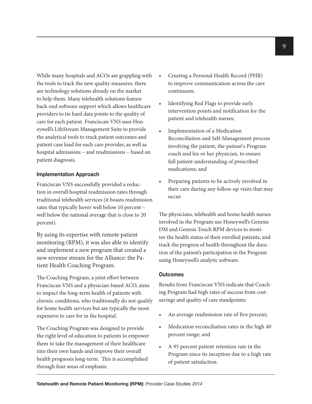While many hospitals and ACOs are grappling with the tools to track the new quality measures, there are technology solutions already on the market to help them. Many telehealth solutions feature back-end software support which allows healthcare providers to tie hard data points to the quality of care for each patient. Franciscan VNS uses Honeywell's LifeStream Management Suite to provide the analytical tools to track patient outcomes and patient case load for each care provider, as well as hospital admissions – and readmissions – based on patient diagnosis.

#### **Implementation Approach**

Franciscan VNS successfully provided a reduction in overall hospital readmission rates through traditional telehealth services (it boasts readmission rates that typically hover well below 10 percent – well below the national average that is close to 20 percent).

By using its expertise with remote patient monitoring (RPM), it was also able to identify and implement a new program that created a new revenue stream for the Alliance: the Patient Health Coaching Program.

The Coaching Program, a joint effort between Franciscan VNS and a physician-based ACO, aims to impact the long-term health of patients with chronic conditions, who traditionally do not qualify for home health services but are typically the most expensive to care for in the hospital.

The Coaching Program was designed to provide the right level of education to patients to empower them to take the management of their healthcare into their own hands and improve their overall health prognosis long-term. This is accomplished through four areas of emphasis:

- Creating a Personal Health Record (PHR) to improve communication across the care continuum;
- Identifying Red Flags to provide early intervention points and notification for the patient and telehealth nurses;
- Implementation of a Medication Reconciliation and Self-Management process involving the patient, the patient's Program coach and his or her physician, to ensure full patient understanding of prescribed medications; and
- Preparing patients to be actively involved in their care during any follow-up visits that may occur.

The physicians, telehealth and home health nurses involved in the Program use Honeywell's Genesis DM and Genesis Touch RPM devices to monitor the health status of their enrolled patients, and track the progress of health throughout the duration of the patient's participation in the Program using Honeywell's analytic software.

#### **Outcomes**

Results from Franciscan VNS indicate that Coaching Program had high rates of success from costsavings and quality of care standpoints:

- An average readmission rate of five percent;
- Medication reconciliation rates in the high 40 percent range; and
- A 95 percent patient retention rate in the Program since its inception due to a high rate of patient satisfaction.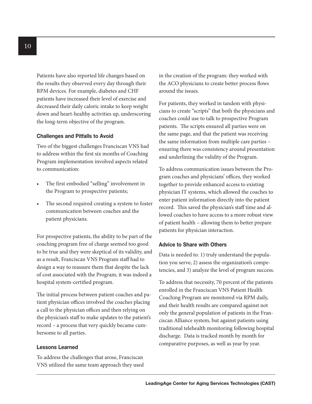Patients have also reported life changes based on the results they observed every day through their RPM devices. For example, diabetes and CHF patients have increased their level of exercise and decreased their daily caloric intake to keep weight down and heart-healthy activities up, underscoring the long-term objective of the program.

#### **Challenges and Pitfalls to Avoid**

Two of the biggest challenges Franciscan VNS had to address within the first six months of Coaching Program implementation involved aspects related to communication:

- The first embodied "selling" involvement in the Program to prospective patients;
- The second required creating a system to foster communication between coaches and the patient physicians.

For prospective patients, the ability to be part of the coaching program free of charge seemed too good to be true and they were skeptical of its validity, and as a result, Franciscan VNS Program staff had to design a way to reassure them that despite the lack of cost associated with the Program, it was indeed a hospital system-certified program.

The initial process between patient coaches and patient physician offices involved the coaches placing a call to the physician offices and then relying on the physician's staff to make updates to the patient's record – a process that very quickly became cumbersome to all parties.

#### **Lessons Learned**

To address the challenges that arose, Franciscan VNS utilized the same team approach they used in the creation of the program: they worked with the ACO physicians to create better process flows around the issues.

For patients, they worked in tandem with physicians to create "scripts" that both the physicians and coaches could use to talk to prospective Program patients. The scripts ensured all parties were on the same page, and that the patient was receiving the same information from multiple care parties – ensuring there was consistency around presentation and underlining the validity of the Program.

To address communication issues between the Program coaches and physicians' offices, they worked together to provide enhanced access to existing physician IT systems, which allowed the coaches to enter patient information directly into the patient record. This saved the physician's staff time and allowed coaches to have access to a more robust view of patient health – allowing them to better prepare patients for physician interaction.

#### **Advice to Share with Others**

Data is needed to: 1) truly understand the population you serve, 2) assess the organization's competencies, and 3) analyze the level of program success.

To address that necessity, 70 percent of the patients enrolled in the Franciscan VNS Patient Health Coaching Program are monitored via RPM daily, and their health results are compared against not only the general population of patients in the Franciscan Alliance system, but against patients using traditional telehealth monitoring following hospital discharge. Data is tracked month by month for comparative purposes, as well as year by year.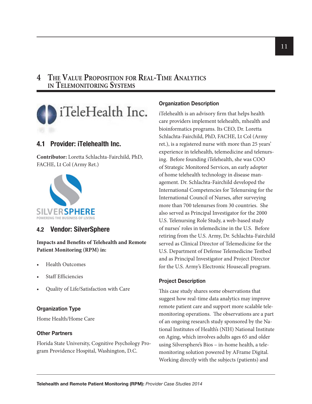# **4 The Value Proposition for Real-Time Analytics in Telemonitoring Systems**



# **4.1 Provider: iTelehealth Inc.**

**Contributor:** Loretta Schlachta-Fairchild, PhD, FACHE, Lt Col (Army Ret.)



# **4.2 Vendor: SilverSphere**

**Impacts and Benefits of Telehealth and Remote Patient Monitoring (RPM) in:**

- Health Outcomes
- Staff Efficiencies
- Quality of Life/Satisfaction with Care

## **Organization Type**

Home Health/Home Care

#### **Other Partners**

Florida State University, Cognitive Psychology Program Providence Hospital, Washington, D.C.

#### **Organization Description**

iTelehealth is an advisory firm that helps health care providers implement telehealth, mhealth and bioinformatics programs. Its CEO, Dr. Loretta Schlachta-Fairchild, PhD, FACHE, Lt Col (Army ret.), is a registered nurse with more than 25 years' experience in telehealth, telemedicine and telenursing. Before founding iTelehealth, she was COO of Strategic Monitored Services, an early adopter of home telehealth technology in disease management. Dr. Schlachta-Fairchild developed the International Competencies for Telenursing for the International Council of Nurses, after surveying more than 700 telenurses from 30 countries. She also served as Principal Investigator for the 2000 U.S. Telenursing Role Study, a web-based study of nurses' roles in telemedicine in the U.S. Before retiring from the U.S. Army, Dr. Schlachta-Fairchild served as Clinical Director of Telemedicine for the U.S. Department of Defense Telemedicine Testbed and as Principal Investigator and Project Director for the U.S. Army's Electronic Housecall program.

#### **Project Description**

This case study shares some observations that suggest how real-time data analytics may improve remote patient care and support more scalable telemonitoring operations. The observations are a part of an ongoing research study sponsored by the National Institutes of Health's (NIH) National Institute on Aging, which involves adults ages 65 and older using Silversphere's Bios – in-home health, a telemonitoring solution powered by AFrame Digital. Working directly with the subjects (patients) and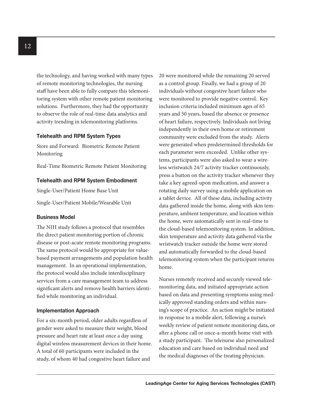the technology, and having worked with many types of remote monitoring technologies, the nursing staff have been able to fully compare this telemonitoring system with other remote patient monitoring solutions. Furthermore, they had the opportunity to observe the role of real-time data analytics and activity trending in telemonitoring platforms.

#### **Telehealth and RPM System Types**

Store and Forward: Biometric Remote Patient Monitoring

Real-Time Biometric Remote Patient Monitoring

#### **Telehealth and RPM System Embodiment**

Single-User/Patient Home Base Unit

Single-User/Patient Mobile/Wearable Unit

#### **Business Model**

The NIH study follows a protocol that resembles the direct patient monitoring portion of chronic disease or post-acute remote monitoring programs. The same protocol would be appropriate for valuebased payment arrangements and population health management. In an operational implementation, the protocol would also include interdisciplinary services from a care management team to address significant alerts and remove health barriers identified while monitoring an individual.

## **Implementation Approach**

For a six-month period, older adults regardless of gender were asked to measure their weight, blood pressure and heart rate at least once a day using digital wireless measurement devices in their home. A total of 60 participants were included in the study, of whom 40 had congestive heart failure and

20 were monitored while the remaining 20 served as a control group. Finally, we had a group of 20 individuals without congestive heart failure who were monitored to provide negative control. Key inclusion criteria included minimum ages of 65 years and 50 years, based the absence or presence of heart failure, respectively. Individuals not living independently in their own home or retirement community were excluded from the study. Alerts were generated when predetermined thresholds for each parameter were exceeded. Unlike other systems, participants were also asked to wear a wireless wristwatch 24/7 activity tracker continuously, press a button on the activity tracker whenever they take a key agreed-upon medication, and answer a rotating daily survey using a mobile application on a tablet device. All of these data, including activity data gathered inside the home, along with skin temperature, ambient temperature, and location within the home, were automatically sent in real-time to the cloud-based telemonitoring system. In addition, skin temperature and activity data gathered via the wristwatch tracker outside the home were stored and automatically forwarded to the cloud-based telemonitoring system when the participant returns home.

Nurses remotely received and securely viewed telemonitoring data, and initiated appropriate action based on data and presenting symptoms using medically approved standing orders and within nursing's scope of practice. An action might be initiated in response to a mobile alert, following a nurse's weekly review of patient remote monitoring data, or after a phone call or once-a-month home visit with a study participant. The telenurse also personalized education and care based on individual need and the medical diagnoses of the treating physician.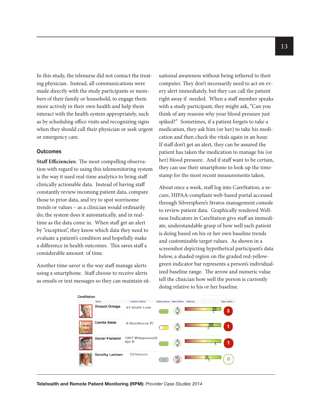In this study, the telenurse did not contact the treating physician. Instead, all communications were made directly with the study participants or members of their family or household, to engage them more actively in their own health and help them interact with the health system appropriately, such as by scheduling office visits and recognizing signs when they should call their physician or seek urgent or emergency care.

#### **Outcomes**

**Staff Efficiencies:** The most compelling observation with regard to using this telemonitoring system is the way it used real-time analytics to bring staff clinically actionable data. Instead of having staff constantly review incoming patient data, compare those to prior data, and try to spot worrisome trends or values – as a clinician would ordinarily do; the system does it automatically, and in realtime as the data come in. When staff get an alert by "exception", they know which data they need to evaluate a patient's condition and hopefully make a difference in health outcomes. This saves staff a considerable amount of time.

Another time-saver is the way staff manage alerts using a smartphone. Staff choose to receive alerts as emails or text messages so they can maintain situational awareness without being tethered to their computer. They don't necessarily need to act on every alert immediately, but they can call the patient right away if needed. When a staff member speaks with a study participant, they might ask, "Can you think of any reasons why your blood pressure just spiked?" Sometimes, if a patient forgets to take a medication, they ask him (or her) to take his medication and then check the vitals again in an hour. If staff don't get an alert, they can be assured the patient has taken the medication to manage his (or her) blood pressure. And if staff want to be certain, they can use their smartphone to look up the timestamp for the most recent measurements taken.

About once a week, staff log into CareStation, a secure, HIPAA-compliant web-based portal accessed through Silversphere's Stratos management console to review patient data. Graphically rendered Wellness Indicators in CareStation give staff an immediate, understandable grasp of how well each patient is doing based on his or her own baseline trends and customizable target values. As shown in a screenshot depicting hypothetical participant's data below, a shaded region on the graded red-yellowgreen indicator bar represents a person's individualized baseline range. The arrow and numeric value tell the clinician how well the person is currently doing relative to his or her baseline.

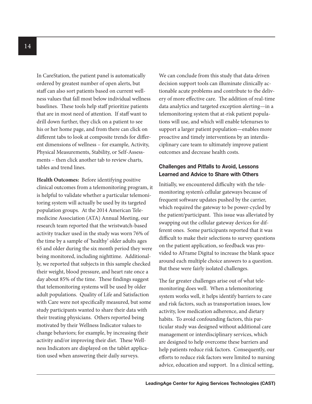In CareStation, the patient panel is automatically ordered by greatest number of open alerts, but staff can also sort patients based on current wellness values that fall most below individual wellness baselines. These tools help staff prioritize patients that are in most need of attention. If staff want to drill down further, they click on a patient to see his or her home page, and from there can click on different tabs to look at composite trends for different dimensions of wellness – for example, Activity, Physical Measurements, Stability, or Self-Assessments – then click another tab to review charts, tables and trend lines.

**Health Outcomes:** Before identifying positive clinical outcomes from a telemonitoring program, it is helpful to validate whether a particular telemonitoring system will actually be used by its targeted population groups. At the 2014 American Telemedicine Association (ATA) Annual Meeting, our research team reported that the wristwatch-based activity tracker used in the study was worn 76% of the time by a sample of 'healthy' older adults ages 65 and older during the six month period they were being monitored, including nighttime. Additionally, we reported that subjects in this sample checked their weight, blood pressure, and heart rate once a day about 85% of the time. These findings suggest that telemonitoring systems will be used by older adult populations. Quality of Life and Satisfaction with Care were not specifically measured, but some study participants wanted to share their data with their treating physicians. Others reported being motivated by their Wellness Indicator values to change behaviors; for example, by increasing their activity and/or improving their diet. These Wellness Indicators are displayed on the tablet application used when answering their daily surveys.

We can conclude from this study that data-driven decision support tools can illuminate clinically actionable acute problems and contribute to the delivery of more effective care. The addition of real-time data analytics and targeted exception alerting—in a telemonitoring system that at-risk patient populations will use, and which will enable telenurses to support a larger patient population—enables more proactive and timely interventions by an interdisciplinary care team to ultimately improve patient outcomes and decrease health costs.

## **Challenges and Pitfalls to Avoid, Lessons Learned and Advice to Share with Others**

Initially, we encountered difficulty with the telemonitoring system's cellular gateways because of frequent software updates pushed by the carrier, which required the gateway to be power-cycled by the patient/participant. This issue was alleviated by swapping out the cellular gateway devices for different ones. Some participants reported that it was difficult to make their selections to survey questions on the patient application, so feedback was provided to AFrame Digital to increase the blank space around each multiple choice answers to a question. But these were fairly isolated challenges.

The far greater challenges arise out of what telemonitoring does well. When a telemonitoring system works well, it helps identify barriers to care and risk factors, such as transportation issues, low activity, low medication adherence, and dietary habits. To avoid confounding factors, this particular study was designed without additional care management or interdisciplinary services, which are designed to help overcome these barriers and help patients reduce risk factors. Consequently, our efforts to reduce risk factors were limited to nursing advice, education and support. In a clinical setting,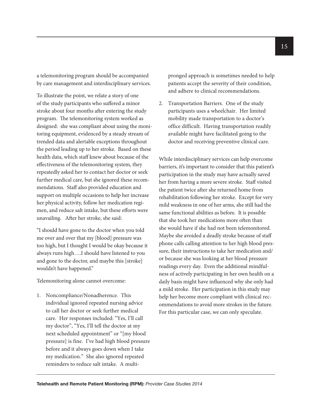a telemonitoring program should be accompanied by care management and interdisciplinary services.

To illustrate the point, we relate a story of one of the study participants who suffered a minor stroke about four months after entering the study program. The telemonitoring system worked as designed: she was compliant about using the monitoring equipment, evidenced by a steady stream of trended data and alertable exceptions throughout the period leading up to her stroke. Based on these health data, which staff knew about because of the effectiveness of the telemonitoring system, they repeatedly asked her to contact her doctor or seek further medical care, but she ignored these recommendations. Staff also provided education and support on multiple occasions to help her increase her physical activity, follow her medication regimen, and reduce salt intake, but these efforts were unavailing. After her stroke, she said:

"I should have gone to the doctor when you told me over and over that my [blood] pressure was too high, but I thought I would be okay because it always runs high….I should have listened to you and gone to the doctor, and maybe this [stroke] wouldn't have happened."

Telemonitoring alone cannot overcome:

1. Noncompliance/Nonadherence. This individual ignored repeated nursing advice to call her doctor or seek further medical care. Her responses included: "Yes, I'll call my doctor", "Yes, I'll tell the doctor at my next scheduled appointment" or "[my blood pressure] is fine. I've had high blood pressure before and it always goes down when I take my medication." She also ignored repeated reminders to reduce salt intake. A multipronged approach is sometimes needed to help patients accept the severity of their condition, and adhere to clinical recommendations.

2. Transportation Barriers. One of the study participants uses a wheelchair. Her limited mobility made transportation to a doctor's office difficult. Having transportation readily available might have facilitated going to the doctor and receiving preventive clinical care.

While interdisciplinary services can help overcome barriers, it's important to consider that this patient's participation in the study may have actually saved her from having a more severe stroke. Staff visited the patient twice after she returned home from rehabilitation following her stroke. Except for very mild weakness in one of her arms, she still had the same functional abilities as before. It is possible that she took her medications more often than she would have if she had not been telemonitored. Maybe she avoided a deadly stroke because of staff phone calls calling attention to her high blood pressure, their instructions to take her medication and/ or because she was looking at her blood pressure readings every day. Even the additional mindfulness of actively participating in her own health on a daily basis might have influenced why she only had a mild stroke. Her participation in this study may help her become more compliant with clinical recommendations to avoid more strokes in the future. For this particular case, we can only speculate.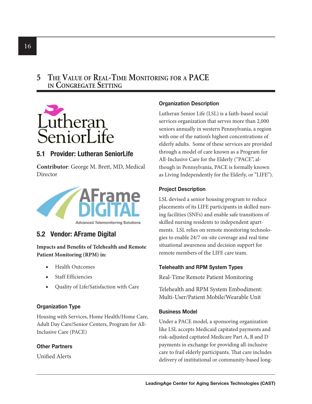# **5 The Value of Real-Time Monitoring for a PACE in Congregate Setting**



# **5.1 Provider: Lutheran SeniorLife**

**Contributor**: George M. Brett, MD, Medical Director



# **5.2 Vendor: AFrame Digital**

**Impacts and Benefits of Telehealth and Remote Patient Monitoring (RPM) in:**

- **Health Outcomes**
- Staff Efficiencies
- Quality of Life/Satisfaction with Care

# **Organization Type**

Housing with Services, Home Health/Home Care, Adult Day Care/Senior Centers, Program for All-Inclusive Care (PACE)

# **Other Partners**

Unified Alerts

# **Organization Description**

Lutheran Senior Life (LSL) is a faith-based social services organization that serves more than 2,000 seniors annually in western Pennsylvania, a region with one of the nation's highest concentrations of elderly adults. Some of these services are provided through a model of care known as a Program for All-Inclusive Care for the Elderly ("PACE", although in Pennsylvania, PACE is formally known as Living Independently for the Elderly, or "LIFE").

## **Project Description**

LSL devised a senior housing program to reduce placements of its LIFE participants in skilled nursing facilities (SNFs) and enable safe transitions of skilled nursing residents to independent apartments. LSL relies on remote monitoring technologies to enable 24/7 on-site coverage and real time situational awareness and decision support for remote members of the LIFE care team.

# **Telehealth and RPM System Types**

Real-Time Remote Patient Monitoring

Telehealth and RPM System Embodiment: Multi-User/Patient Mobile/Wearable Unit

# **Business Model**

Under a PACE model, a sponsoring organization like LSL accepts Medicaid capitated payments and risk-adjusted capitated Medicare Part A, B and D payments in exchange for providing all-inclusive care to frail elderly participants. That care includes delivery of institutional or community-based long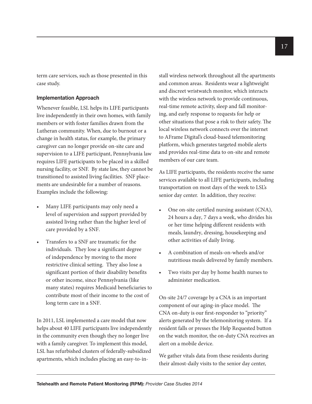term care services, such as those presented in this case study.

#### **Implementation Approach**

Whenever feasible, LSL helps its LIFE participants live independently in their own homes, with family members or with foster families drawn from the Lutheran community. When, due to burnout or a change in health status, for example, the primary caregiver can no longer provide on-site care and supervision to a LIFE participant, Pennsylvania law requires LIFE participants to be placed in a skilled nursing facility, or SNF. By state law, they cannot be transitioned to assisted living facilities. SNF placements are undesirable for a number of reasons. Examples include the following:

- Many LIFE participants may only need a level of supervision and support provided by assisted living rather than the higher level of care provided by a SNF.
- Transfers to a SNF are traumatic for the individuals. They lose a significant degree of independence by moving to the more restrictive clinical setting. They also lose a significant portion of their disability benefits or other income, since Pennsylvania (like many states) requires Medicaid beneficiaries to contribute most of their income to the cost of long term care in a SNF.

In 2011, LSL implemented a care model that now helps about 40 LIFE participants live independently in the community even though they no longer live with a family caregiver. To implement this model, LSL has refurbished clusters of federally-subsidized apartments, which includes placing an easy-to-install wireless network throughout all the apartments and common areas. Residents wear a lightweight and discreet wristwatch monitor, which interacts with the wireless network to provide continuous, real-time remote activity, sleep and fall monitoring, and early response to requests for help or other situations that pose a risk to their safety. The local wireless network connects over the internet to AFrame Digital's cloud-based telemonitoring platform, which generates targeted mobile alerts and provides real-time data to on-site and remote members of our care team.

As LIFE participants, the residents receive the same services available to all LIFE participants, including transportation on most days of the week to LSL's senior day center. In addition, they receive:

- One on-site certified nursing assistant (CNA), 24 hours a day, 7 days a week, who divides his or her time helping different residents with meals, laundry, dressing, housekeeping and other activities of daily living.
- A combination of meals-on-wheels and/or nutritious meals delivered by family members.
- Two visits per day by home health nurses to administer medication.

On-site 24/7 coverage by a CNA is an important component of our aging-in-place model. The CNA on-duty is our first-responder to "priority" alerts generated by the telemonitoring system. If a resident falls or presses the Help Requested button on the watch monitor, the on-duty CNA receives an alert on a mobile device.

We gather vitals data from these residents during their almost-daily visits to the senior day center,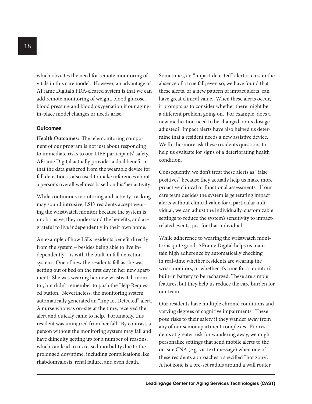which obviates the need for remote monitoring of vitals in this care model. However, an advantage of AFrame Digital's FDA-cleared system is that we can add remote monitoring of weight, blood glucose, blood pressure and blood oxygenation if our agingin-place model changes or needs arise.

#### **Outcomes**

**Health Outcomes:** The telemonitoring component of our program is not just about responding to immediate risks to our LIFE participants' safety. AFrame Digital actually provides a dual benefit in that the data gathered from the wearable device for fall detection is also used to make inferences about a person's overall wellness based on his/her activity.

While continuous monitoring and activity tracking may sound intrusive, LSL's residents accept wearing the wristwatch monitor because the system is unobtrusive, they understand the benefits, and are grateful to live independently in their own home.

An example of how LSL's residents benefit directly from the system – besides being able to live independently – is with the built-in fall detection system. One of new the residents fell as she was getting out of bed on the first day in her new apartment. She was wearing her new wristwatch monitor, but didn't remember to push the Help Requested button. Nevertheless, the monitoring system automatically generated an "Impact Detected" alert. A nurse who was on-site at the time, received the alert and quickly came to help. Fortunately, this resident was uninjured from her fall. By contrast, a person without the monitoring system may fall and have difficulty getting up for a number of reasons, which can lead to increased morbidity due to the prolonged downtime, including complications like rhabdomyalosis, renal failure, and even death.

Sometimes, an "impact detected" alert occurs in the absence of a true fall; even so, we have found that these alerts, or a new pattern of impact alerts, can have great clinical value. When these alerts occur, it prompts us to consider whether there might be a different problem going on. For example, does a new medication need to be changed, or its dosage adjusted? Impact alerts have also helped us determine that a resident needs a new assistive device. We furthermore ask these residents questions to help us evaluate for signs of a deteriorating health condition.

Consequently, we don't treat these alerts as "false positives" because they actually help us make more proactive clinical or functional assessments. If our care team decides the system is generating impact alerts without clinical value for a particular individual, we can adjust the individually-customizable settings to reduce the system's sensitivity to impactrelated events, just for that individual.

While adherence to wearing the wristwatch monitor is quite good, AFrame Digital helps us maintain high adherence by automatically checking in real-time whether residents are wearing the wrist monitors, or whether it's time for a monitor's built-in battery to be recharged. These are simple features, but they help us reduce the care burden for our team.

Our residents have multiple chronic conditions and varying degrees of cognitive impairments. These pose risks to their safety if they wander away from any of our senior apartment complexes. For residents at greater risk for wandering away, we might personalize settings that send mobile alerts to the on-site CNA (e.g. via text message) when one of these residents approaches a specified "hot zone". A hot zone is a pre-set radius around a wall router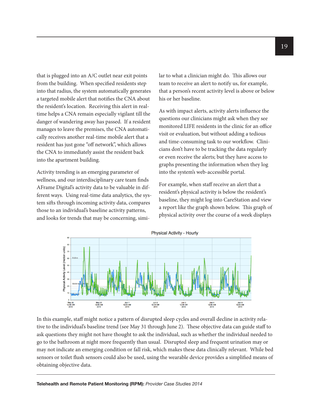that is plugged into an A/C outlet near exit points from the building. When specified residents step into that radius, the system automatically generates a targeted mobile alert that notifies the CNA about the resident's location. Receiving this alert in realtime helps a CNA remain especially vigilant till the danger of wandering away has passed. If a resident manages to leave the premises, the CNA automatically receives another real-time mobile alert that a resident has just gone "off network", which allows the CNA to immediately assist the resident back into the apartment building.

Activity trending is an emerging parameter of wellness, and our interdisciplinary care team finds AFrame Digital's activity data to be valuable in different ways. Using real-time data analytics, the system sifts through incoming activity data, compares those to an individual's baseline activity patterns, and looks for trends that may be concerning, similar to what a clinician might do. This allows our team to receive an alert to notify us, for example, that a person's recent activity level is above or below his or her baseline.

As with impact alerts, activity alerts influence the questions our clinicians might ask when they see monitored LIFE residents in the clinic for an office visit or evaluation, but without adding a tedious and time-consuming task to our workflow. Clinicians don't have to be tracking the data regularly or even receive the alerts; but they have access to graphs presenting the information when they log into the system's web-accessible portal.

For example, when staff receive an alert that a resident's physical activity is below the resident's baseline, they might log into CareStation and view a report like the graph shown below. This graph of physical activity over the course of a week displays



In this example, staff might notice a pattern of disrupted sleep cycles and overall decline in activity relative to the individual's baseline trend (see May 31 through June 2). These objective data can guide staff to ask questions they might not have thought to ask the individual, such as whether the individual needed to go to the bathroom at night more frequently than usual. Disrupted sleep and frequent urination may or may not indicate an emerging condition or fall risk, which makes these data clinically relevant. While bed sensors or toilet flush sensors could also be used, using the wearable device provides a simplified means of obtaining objective data.